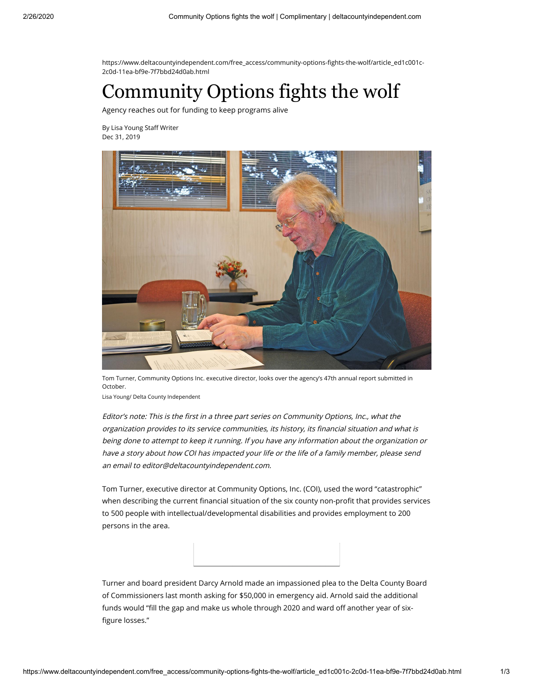https://www.deltacountyindependent.com/free\_access/community-options-fights-the-wolf/article\_ed1c001c-2c0d-11ea-bf9e-7f7bbd24d0ab.html

## Community Options fights the wolf

Agency reaches out for funding to keep programs alive

By Lisa Young Staff Writer Dec 31, 2019



Tom Turner, Community Options Inc. executive director, looks over the agency's 47th annual report submitted in October.

Lisa Young/ Delta County Independent

Editor's note: This is the first in a three part series on Community Options, Inc., what the organization provides to its service communities, its history, its financial situation and what is being done to attempt to keep it running. If you have any information about the organization or have a story about how COI has impacted your life or the life of a family member, please send an email to [editor@deltacountyindependent.com](mailto:editor@deltacountyindependent.com).

Tom Turner, executive director at Community Options, Inc. (COI), used the word "catastrophic" when describing the current financial situation of the six county non-profit that provides services to 500 people with intellectual/developmental disabilities and provides employment to 200 persons in the area.

Turner and board president Darcy Arnold made an impassioned plea to the Delta County Board of Commissioners last month asking for \$50,000 in emergency aid. Arnold said the additional funds would "fill the gap and make us whole through 2020 and ward off another year of sixfigure losses."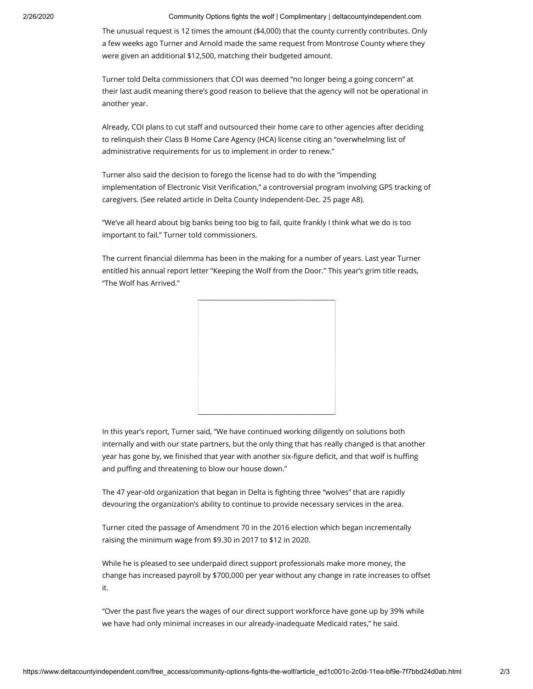## 2/26/2020 Community Options fights the wolf | Complimentary | deltacountyindependent.com

The unusual request is 12 times the amount (\$4,000) that the county currently contributes. Only a few weeks ago Turner and Arnold made the same request from Montrose County where they were given an additional \$12,500, matching their budgeted amount.

Turner told Delta commissioners that COI was deemed "no longer being a going concern" at their last audit meaning there's good reason to believe that the agency will not be operational in another year.

Already, COI plans to cut staff and outsourced their home care to other agencies after deciding to relinquish their Class B Home Care Agency (HCA) license citing an "overwhelming list of administrative requirements for us to implement in order to renew."

Turner also said the decision to forego the license had to do with the "impending implementation of Electronic Visit Verification," a controversial program involving GPS tracking of caregivers. (See related article in Delta County Independent-Dec. 25 page A8).

"We've all heard about big banks being too big to fail, quite frankly I think what we do is too important to fail," Turner told commissioners.

The current financial dilemma has been in the making for a number of years. Last year Turner entitled his annual report letter "Keeping the Wolf from the Door." This year's grim title reads, "The Wolf has Arrived."

In this year's report, Turner said, "We have continued working diligently on solutions both internally and with our state partners, but the only thing that has really changed is that another year has gone by, we finished that year with another six-figure deficit, and that wolf is huffing and puffing and threatening to blow our house down."

The 47 year-old organization that began in Delta is fighting three "wolves" that are rapidly devouring the organization's ability to continue to provide necessary services in the area.

Turner cited the passage of Amendment 70 in the 2016 election which began incrementally raising the minimum wage from \$9.30 in 2017 to \$12 in 2020.

While he is pleased to see underpaid direct support professionals make more money, the change has increased payroll by \$700,000 per year without any change in rate increases to offset it.

"Over the past five years the wages of our direct support workforce have gone up by 39% while we have had only minimal increases in our already-inadequate Medicaid rates," he said.